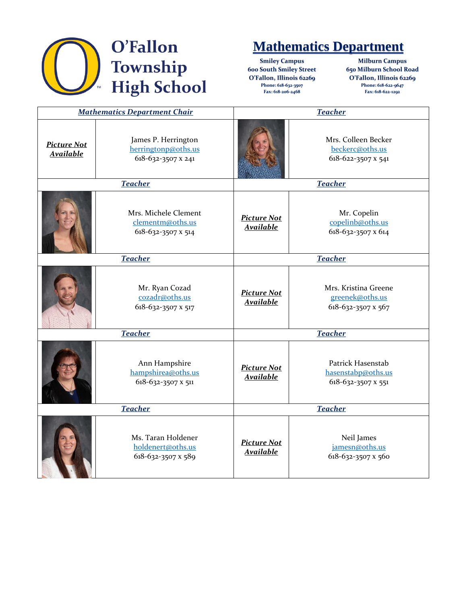

## **Mathematics Department**

**Smiley Campus 600 South Smiley Street O'Fallon, Illinois 62269 Phone: 618-632-3507 Fax: 618-206-2468**

**Milburn Campus 650 Milburn School Road O'Fallon, Illinois 62269 Phone: 618-622-9647 Fax: 618-622-1292**

| <b>Mathematics Department Chair</b>    |                                                                  | <b>Teacher</b>                         |                                                               |
|----------------------------------------|------------------------------------------------------------------|----------------------------------------|---------------------------------------------------------------|
| <b>Picture Not</b><br><b>Available</b> | James P. Herrington<br>herringtonp@oths.us<br>618-632-3507 x 241 |                                        | Mrs. Colleen Becker<br>beckerc@oths.us<br>618-622-3507 x 541  |
| <b>Teacher</b>                         |                                                                  | <b>Teacher</b>                         |                                                               |
|                                        | Mrs. Michele Clement<br>clementm@oths.us<br>618-632-3507 x 514   | <b>Picture Not</b><br>Available        | Mr. Copelin<br>copelinb@oths.us<br>618-632-3507 x 614         |
| <b>Teacher</b>                         |                                                                  | <b>Teacher</b>                         |                                                               |
|                                        | Mr. Ryan Cozad<br>cozadr@oths.us<br>618-632-3507 x 517           | <b>Picture Not</b><br><b>Available</b> | Mrs. Kristina Greene<br>greenek@oths.us<br>618-632-3507 x 567 |
| <b>Teacher</b>                         |                                                                  | <b>Teacher</b>                         |                                                               |
|                                        | Ann Hampshire<br>hampshirea@oths.us<br>618-632-3507 x 511        | <b>Picture Not</b><br><b>Available</b> | Patrick Hasenstab<br>hasenstabp@oths.us<br>618-632-3507 x 551 |
| <b>Teacher</b>                         |                                                                  | <b>Teacher</b>                         |                                                               |
|                                        | Ms. Taran Holdener<br>holdenert@oths.us<br>618-632-3507 x 589    | <b>Picture Not</b><br><b>Available</b> | Neil James<br>jamesn@oths.us<br>618-632-3507 x 560            |